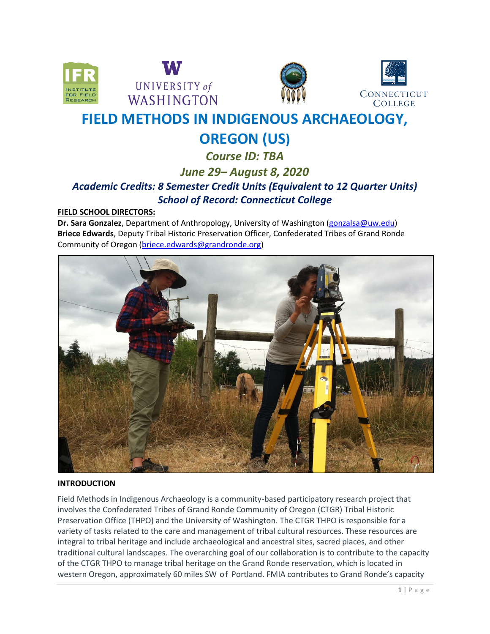





# **FIELD METHODS IN INDIGENOUS ARCHAEOLOGY, OREGON (US)**

# *Course ID: TBA June 29– August 8, 2020 Academic Credits: 8 Semester Credit Units (Equivalent to 12 Quarter Units) School of Record: Connecticut College*

# **FIELD SCHOOL DIRECTORS:**

**Dr. Sara Gonzalez**, Department of Anthropology, University of Washington [\(gonzalsa@uw.edu\)](mailto:gonzalsa@uw.edu) **Briece Edwards**, Deputy Tribal Historic Preservation Officer, Confederated Tribes of Grand Ronde Community of Oregon [\(briece.edwards@grandronde.org\)](mailto:briece.edwards@grandronde.org)



# **INTRODUCTION**

Field Methods in Indigenous Archaeology is a community-based participatory research project that involves the Confederated Tribes of Grand Ronde Community of Oregon (CTGR) Tribal Historic Preservation Office (THPO) and the University of Washington. The CTGR THPO is responsible for a variety of tasks related to the care and management of tribal cultural resources. These resources are integral to tribal heritage and include archaeological and ancestral sites, sacred places, and other traditional cultural landscapes. The overarching goal of our collaboration is to contribute to the capacity of the CTGR THPO to manage tribal heritage on the Grand Ronde reservation, which is located in western Oregon, approximately 60 miles SW of Portland. FMIA contributes to Grand Ronde's capacity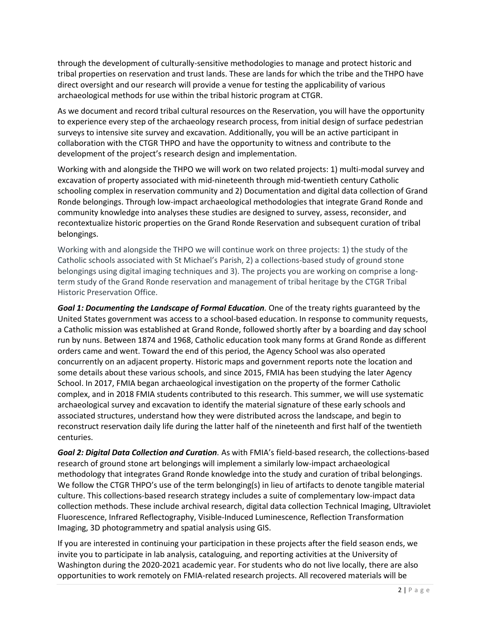through the development of culturally-sensitive methodologies to manage and protect historic and tribal properties on reservation and trust lands. These are lands for which the tribe and the THPO have direct oversight and our research will provide a venue for testing the applicability of various archaeological methods for use within the tribal historic program at CTGR.

As we document and record tribal cultural resources on the Reservation, you will have the opportunity to experience every step of the archaeology research process, from initial design of surface pedestrian surveys to intensive site survey and excavation. Additionally, you will be an active participant in collaboration with the CTGR THPO and have the opportunity to witness and contribute to the development of the project's research design and implementation.

Working with and alongside the THPO we will work on two related projects: 1) multi-modal survey and excavation of property associated with mid-nineteenth through mid-twentieth century Catholic schooling complex in reservation community and 2) Documentation and digital data collection of Grand Ronde belongings. Through low-impact archaeological methodologies that integrate Grand Ronde and community knowledge into analyses these studies are designed to survey, assess, reconsider, and recontextualize historic properties on the Grand Ronde Reservation and subsequent curation of tribal belongings.

Working with and alongside the THPO we will continue work on three projects: 1) the study of the Catholic schools associated with St Michael's Parish, 2) a collections-based study of ground stone belongings using digital imaging techniques and 3). The projects you are working on comprise a longterm study of the Grand Ronde reservation and management of tribal heritage by the CTGR Tribal Historic Preservation Office.

*Goal 1: Documenting the Landscape of Formal Education.* One of the treaty rights guaranteed by the United States government was access to a school-based education. In response to community requests, a Catholic mission was established at Grand Ronde, followed shortly after by a boarding and day school run by nuns. Between 1874 and 1968, Catholic education took many forms at Grand Ronde as different orders came and went. Toward the end of this period, the Agency School was also operated concurrently on an adjacent property. Historic maps and government reports note the location and some details about these various schools, and since 2015, FMIA has been studying the later Agency School. In 2017, FMIA began archaeological investigation on the property of the former Catholic complex, and in 2018 FMIA students contributed to this research. This summer, we will use systematic archaeological survey and excavation to identify the material signature of these early schools and associated structures, understand how they were distributed across the landscape, and begin to reconstruct reservation daily life during the latter half of the nineteenth and first half of the twentieth centuries.

*Goal 2: Digital Data Collection and Curation.* As with FMIA's field-based research, the collections-based research of ground stone art belongings will implement a similarly low-impact archaeological methodology that integrates Grand Ronde knowledge into the study and curation of tribal belongings. We follow the CTGR THPO's use of the term belonging(s) in lieu of artifacts to denote tangible material culture. This collections-based research strategy includes a suite of complementary low-impact data collection methods. These include archival research, digital data collection Technical Imaging, Ultraviolet Fluorescence, Infrared Reflectography, Visible-Induced Luminescence, Reflection Transformation Imaging, 3D photogrammetry and spatial analysis using GIS.

If you are interested in continuing your participation in these projects after the field season ends, we invite you to participate in lab analysis, cataloguing, and reporting activities at the University of Washington during the 2020-2021 academic year. For students who do not live locally, there are also opportunities to work remotely on FMIA-related research projects. All recovered materials will be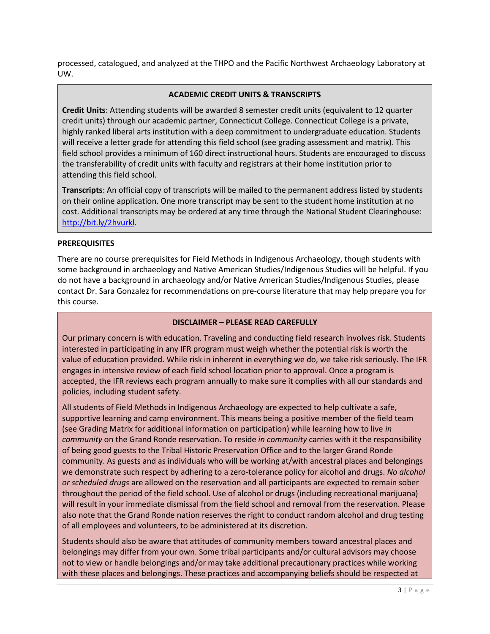processed, catalogued, and analyzed at the THPO and the Pacific Northwest Archaeology Laboratory at UW.

# **ACADEMIC CREDIT UNITS & TRANSCRIPTS**

**Credit Units**: Attending students will be awarded 8 semester credit units (equivalent to 12 quarter credit units) through our academic partner, Connecticut College. Connecticut College is a private, highly ranked liberal arts institution with a deep commitment to undergraduate education. Students will receive a letter grade for attending this field school (see grading assessment and matrix). This field school provides a minimum of 160 direct instructional hours. Students are encouraged to discuss the transferability of credit units with faculty and registrars at their home institution prior to attending this field school.

**Transcripts**: An official copy of transcripts will be mailed to the permanent address listed by students on their online application. One more transcript may be sent to the student home institution at no cost. Additional transcripts may be ordered at any time through the National Student Clearinghouse: [http://bit.ly/2hvurkl.](http://bit.ly/2hvurkl)

# **PREREQUISITES**

There are no course prerequisites for Field Methods in Indigenous Archaeology, though students with some background in archaeology and Native American Studies/Indigenous Studies will be helpful. If you do not have a background in archaeology and/or Native American Studies/Indigenous Studies, please contact Dr. Sara Gonzalez for recommendations on pre-course literature that may help prepare you for this course.

# **DISCLAIMER – PLEASE READ CAREFULLY**

Our primary concern is with education. Traveling and conducting field research involves risk. Students interested in participating in any IFR program must weigh whether the potential risk is worth the value of education provided. While risk in inherent in everything we do, we take risk seriously. The IFR engages in intensive review of each field school location prior to approval. Once a program is accepted, the IFR reviews each program annually to make sure it complies with all our standards and policies, including student safety.

All students of Field Methods in Indigenous Archaeology are expected to help cultivate a safe, supportive learning and camp environment. This means being a positive member of the field team (see Grading Matrix for additional information on participation) while learning how to live *in community* on the Grand Ronde reservation. To reside *in community* carries with it the responsibility of being good guests to the Tribal Historic Preservation Office and to the larger Grand Ronde community. As guests and as individuals who will be working at/with ancestral places and belongings we demonstrate such respect by adhering to a zero-tolerance policy for alcohol and drugs. *No alcohol or scheduled drugs* are allowed on the reservation and all participants are expected to remain sober throughout the period of the field school. Use of alcohol or drugs (including recreational marijuana) will result in your immediate dismissal from the field school and removal from the reservation. Please also note that the Grand Ronde nation reserves the right to conduct random alcohol and drug testing of all employees and volunteers, to be administered at its discretion.

Students should also be aware that attitudes of community members toward ancestral places and belongings may differ from your own. Some tribal participants and/or cultural advisors may choose not to view or handle belongings and/or may take additional precautionary practices while working with these places and belongings. These practices and accompanying beliefs should be respected at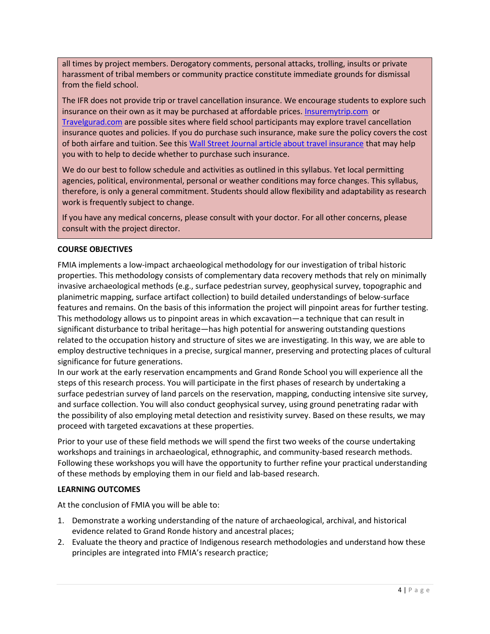all times by project members. Derogatory comments, personal attacks, trolling, insults or private harassment of tribal members or community practice constitute immediate grounds for dismissal from the field school.

The IFR does not provide trip or travel cancellation insurance. We encourage students to explore such insurance on their own as it may be purchased at affordable prices[. Insuremytrip.com](http://www.insuremytrip.com/) or [Travelgurad.com](http://www.travelgurad.com/) are possible sites where field school participants may explore travel cancellation insurance quotes and policies. If you do purchase such insurance, make sure the policy covers the cost of both airfare and tuition. See this Wall Street Journal [article about travel insurance](https://ifrglobal.org/wp-content/uploads/2019/05/WSJ-04-03-19-Travel-Insurance.pdf) that may help you with to help to decide whether to purchase such insurance.

We do our best to follow schedule and activities as outlined in this syllabus. Yet local permitting agencies, political, environmental, personal or weather conditions may force changes. This syllabus, therefore, is only a general commitment. Students should allow flexibility and adaptability as research work is frequently subject to change.

If you have any medical concerns, please consult with your doctor. For all other concerns, please consult with the project director.

# **COURSE OBJECTIVES**

FMIA implements a low-impact archaeological methodology for our investigation of tribal historic properties. This methodology consists of complementary data recovery methods that rely on minimally invasive archaeological methods (e.g., surface pedestrian survey, geophysical survey, topographic and planimetric mapping, surface artifact collection) to build detailed understandings of below-surface features and remains. On the basis of this information the project will pinpoint areas for further testing. This methodology allows us to pinpoint areas in which excavation—a technique that can result in significant disturbance to tribal heritage—has high potential for answering outstanding questions related to the occupation history and structure of sites we are investigating. In this way, we are able to employ destructive techniques in a precise, surgical manner, preserving and protecting places of cultural significance for future generations.

In our work at the early reservation encampments and Grand Ronde School you will experience all the steps of this research process. You will participate in the first phases of research by undertaking a surface pedestrian survey of land parcels on the reservation, mapping, conducting intensive site survey, and surface collection. You will also conduct geophysical survey, using ground penetrating radar with the possibility of also employing metal detection and resistivity survey. Based on these results, we may proceed with targeted excavations at these properties.

Prior to your use of these field methods we will spend the first two weeks of the course undertaking workshops and trainings in archaeological, ethnographic, and community-based research methods. Following these workshops you will have the opportunity to further refine your practical understanding of these methods by employing them in our field and lab-based research.

# **LEARNING OUTCOMES**

At the conclusion of FMIA you will be able to:

- 1. Demonstrate a working understanding of the nature of archaeological, archival, and historical evidence related to Grand Ronde history and ancestral places;
- 2. Evaluate the theory and practice of Indigenous research methodologies and understand how these principles are integrated into FMIA's research practice;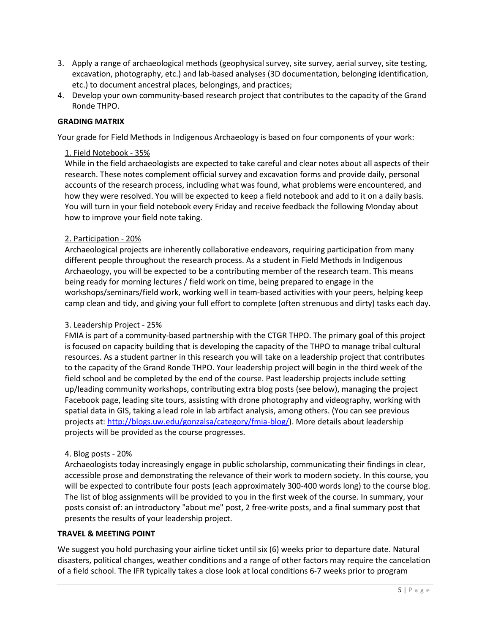- 3. Apply a range of archaeological methods (geophysical survey, site survey, aerial survey, site testing, excavation, photography, etc.) and lab-based analyses (3D documentation, belonging identification, etc.) to document ancestral places, belongings, and practices;
- 4. Develop your own community-based research project that contributes to the capacity of the Grand Ronde THPO.

# **GRADING MATRIX**

Your grade for Field Methods in Indigenous Archaeology is based on four components of your work:

#### 1. Field Notebook - 35%

While in the field archaeologists are expected to take careful and clear notes about all aspects of their research. These notes complement official survey and excavation forms and provide daily, personal accounts of the research process, including what was found, what problems were encountered, and how they were resolved. You will be expected to keep a field notebook and add to it on a daily basis. You will turn in your field notebook every Friday and receive feedback the following Monday about how to improve your field note taking.

#### 2. Participation - 20%

Archaeological projects are inherently collaborative endeavors, requiring participation from many different people throughout the research process. As a student in Field Methods in Indigenous Archaeology, you will be expected to be a contributing member of the research team. This means being ready for morning lectures / field work on time, being prepared to engage in the workshops/seminars/field work, working well in team-based activities with your peers, helping keep camp clean and tidy, and giving your full effort to complete (often strenuous and dirty) tasks each day.

#### 3. Leadership Project - 25%

FMIA is part of a community-based partnership with the CTGR THPO. The primary goal of this project is focused on capacity building that is developing the capacity of the THPO to manage tribal cultural resources. As a student partner in this research you will take on a leadership project that contributes to the capacity of the Grand Ronde THPO. Your leadership project will begin in the third week of the field school and be completed by the end of the course. Past leadership projects include setting up/leading community workshops, contributing extra blog posts (see below), managing the project Facebook page, leading site tours, assisting with drone photography and videography, working with spatial data in GIS, taking a lead role in lab artifact analysis, among others. (You can see previous projects at: [http://blogs.uw.edu/gonzalsa/category/fmia-blog/\)](http://blogs.uw.edu/gonzalsa/category/fmia-blog/). More details about leadership projects will be provided as the course progresses.

#### 4. Blog posts - 20%

Archaeologists today increasingly engage in public scholarship, communicating their findings in clear, accessible prose and demonstrating the relevance of their work to modern society. In this course, you will be expected to contribute four posts (each approximately 300-400 words long) to the course blog. The list of blog assignments will be provided to you in the first week of the course. In summary, your posts consist of: an introductory "about me" post, 2 free-write posts, and a final summary post that presents the results of your leadership project.

#### **TRAVEL & MEETING POINT**

We suggest you hold purchasing your airline ticket until six (6) weeks prior to departure date. Natural disasters, political changes, weather conditions and a range of other factors may require the cancelation of a field school. The IFR typically takes a close look at local conditions 6-7 weeks prior to program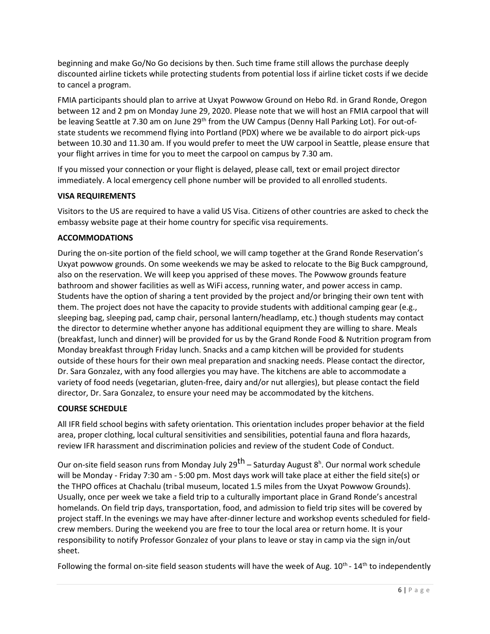beginning and make Go/No Go decisions by then. Such time frame still allows the purchase deeply discounted airline tickets while protecting students from potential loss if airline ticket costs if we decide to cancel a program.

FMIA participants should plan to arrive at Uxyat Powwow Ground on Hebo Rd. in Grand Ronde, Oregon between 12 and 2 pm on Monday June 29, 2020. Please note that we will host an FMIA carpool that will be leaving Seattle at 7.30 am on June 29<sup>th</sup> from the UW Campus (Denny Hall Parking Lot). For out-ofstate students we recommend flying into Portland (PDX) where we be available to do airport pick-ups between 10.30 and 11.30 am. If you would prefer to meet the UW carpool in Seattle, please ensure that your flight arrives in time for you to meet the carpool on campus by 7.30 am.

If you missed your connection or your flight is delayed, please call, text or email project director immediately. A local emergency cell phone number will be provided to all enrolled students.

# **VISA REQUIREMENTS**

Visitors to the US are required to have a valid US Visa. Citizens of other countries are asked to check the embassy website page at their home country for specific visa requirements.

# **ACCOMMODATIONS**

During the on-site portion of the field school, we will camp together at the Grand Ronde Reservation's Uxyat powwow grounds. On some weekends we may be asked to relocate to the Big Buck campground, also on the reservation. We will keep you apprised of these moves. The Powwow grounds feature bathroom and shower facilities as well as WiFi access, running water, and power access in camp. Students have the option of sharing a tent provided by the project and/or bringing their own tent with them. The project does not have the capacity to provide students with additional camping gear (e.g., sleeping bag, sleeping pad, camp chair, personal lantern/headlamp, etc.) though students may contact the director to determine whether anyone has additional equipment they are willing to share. Meals (breakfast, lunch and dinner) will be provided for us by the Grand Ronde Food & Nutrition program from Monday breakfast through Friday lunch. Snacks and a camp kitchen will be provided for students outside of these hours for their own meal preparation and snacking needs. Please contact the director, Dr. Sara Gonzalez, with any food allergies you may have. The kitchens are able to accommodate a variety of food needs (vegetarian, gluten-free, dairy and/or nut allergies), but please contact the field director, Dr. Sara Gonzalez, to ensure your need may be accommodated by the kitchens.

# **COURSE SCHEDULE**

All IFR field school begins with safety orientation. This orientation includes proper behavior at the field area, proper clothing, local cultural sensitivities and sensibilities, potential fauna and flora hazards, review IFR harassment and discrimination policies and review of the student Code of Conduct.

Our on-site field season runs from Monday July 29<sup>th</sup> – Saturday August 8<sup>h</sup>. Our normal work schedule will be Monday - Friday 7:30 am - 5:00 pm. Most days work will take place at either the field site(s) or the THPO offices at Chachalu (tribal museum, located 1.5 miles from the Uxyat Powwow Grounds). Usually, once per week we take a field trip to a culturally important place in Grand Ronde's ancestral homelands. On field trip days, transportation, food, and admission to field trip sites will be covered by project staff. In the evenings we may have after-dinner lecture and workshop events scheduled for fieldcrew members. During the weekend you are free to tour the local area or return home. It is your responsibility to notify Professor Gonzalez of your plans to leave or stay in camp via the sign in/out sheet.

Following the formal on-site field season students will have the week of Aug.  $10^{\text{th}}$  -  $14^{\text{th}}$  to independently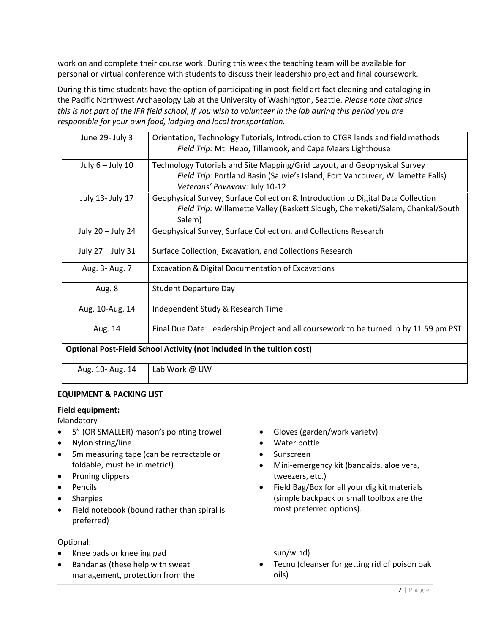work on and complete their course work. During this week the teaching team will be available for personal or virtual conference with students to discuss their leadership project and final coursework.

During this time students have the option of participating in post-field artifact cleaning and cataloging in the Pacific Northwest Archaeology Lab at the University of Washington, Seattle. *Please note that since this is not part of the IFR field school, if you wish to volunteer in the lab during this period you are responsible for your own food, lodging and local transportation.*

| June 29- July 3                                                        | Orientation, Technology Tutorials, Introduction to CTGR lands and field methods<br>Field Trip: Mt. Hebo, Tillamook, and Cape Mears Lighthouse                                               |
|------------------------------------------------------------------------|---------------------------------------------------------------------------------------------------------------------------------------------------------------------------------------------|
| July $6 -$ July 10                                                     | Technology Tutorials and Site Mapping/Grid Layout, and Geophysical Survey<br>Field Trip: Portland Basin (Sauvie's Island, Fort Vancouver, Willamette Falls)<br>Veterans' Powwow: July 10-12 |
| July 13- July 17                                                       | Geophysical Survey, Surface Collection & Introduction to Digital Data Collection<br>Field Trip: Willamette Valley (Baskett Slough, Chemeketi/Salem, Chankal/South<br>Salem)                 |
| July 20 - July 24                                                      | Geophysical Survey, Surface Collection, and Collections Research                                                                                                                            |
| July 27 - July 31                                                      | Surface Collection, Excavation, and Collections Research                                                                                                                                    |
| Aug. 3- Aug. 7                                                         | <b>Excavation &amp; Digital Documentation of Excavations</b>                                                                                                                                |
| Aug. 8                                                                 | <b>Student Departure Day</b>                                                                                                                                                                |
| Aug. 10-Aug. 14                                                        | Independent Study & Research Time                                                                                                                                                           |
| Aug. 14                                                                | Final Due Date: Leadership Project and all coursework to be turned in by 11.59 pm PST                                                                                                       |
| Optional Post-Field School Activity (not included in the tuition cost) |                                                                                                                                                                                             |
| Aug. 10- Aug. 14                                                       | Lab Work @ UW                                                                                                                                                                               |

# **EQUIPMENT & PACKING LIST**

# **Field equipment:**

Mandatory

- 5" (OR SMALLER) mason's pointing trowel
- Nylon string/line
- 5m measuring tape (can be retractable or foldable, must be in metric!)
- Pruning clippers
- Pencils
- Sharpies
- Field notebook (bound rather than spiral is preferred)

# Optional:

- Knee pads or kneeling pad
- Bandanas (these help with sweat management, protection from the
- Gloves (garden/work variety)
- Water bottle
- Sunscreen
- Mini-emergency kit (bandaids, aloe vera, tweezers, etc.)
- Field Bag/Box for all your dig kit materials (simple backpack or small toolbox are the most preferred options).

sun/wind)

• Tecnu (cleanser for getting rid of poison oak oils)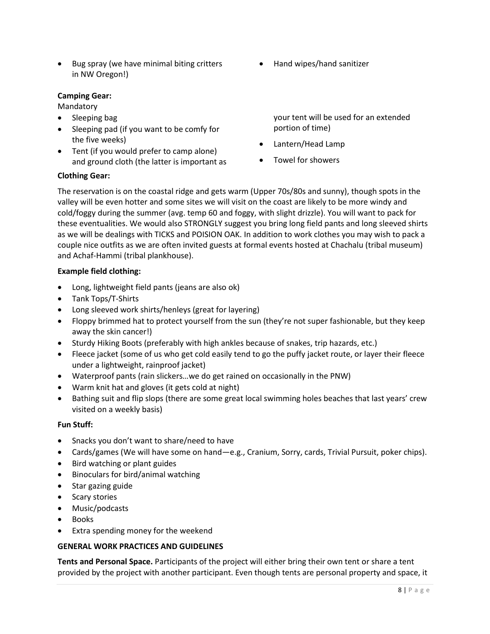• Bug spray (we have minimal biting critters in NW Oregon!)

# **Camping Gear:**

Mandatory

- Sleeping bag
- Sleeping pad (if you want to be comfy for the five weeks)
- Tent (if you would prefer to camp alone) and ground cloth (the latter is important as

• Hand wipes/hand sanitizer

your tent will be used for an extended portion of time)

- Lantern/Head Lamp
- Towel for showers

# **Clothing Gear:**

The reservation is on the coastal ridge and gets warm (Upper 70s/80s and sunny), though spots in the valley will be even hotter and some sites we will visit on the coast are likely to be more windy and cold/foggy during the summer (avg. temp 60 and foggy, with slight drizzle). You will want to pack for these eventualities. We would also STRONGLY suggest you bring long field pants and long sleeved shirts as we will be dealings with TICKS and POISION OAK. In addition to work clothes you may wish to pack a couple nice outfits as we are often invited guests at formal events hosted at Chachalu (tribal museum) and Achaf-Hammi (tribal plankhouse).

# **Example field clothing:**

- Long, lightweight field pants (jeans are also ok)
- Tank Tops/T-Shirts
- Long sleeved work shirts/henleys (great for layering)
- Floppy brimmed hat to protect yourself from the sun (they're not super fashionable, but they keep away the skin cancer!)
- Sturdy Hiking Boots (preferably with high ankles because of snakes, trip hazards, etc.)
- Fleece jacket (some of us who get cold easily tend to go the puffy jacket route, or layer their fleece under a lightweight, rainproof jacket)
- Waterproof pants (rain slickers…we do get rained on occasionally in the PNW)
- Warm knit hat and gloves (it gets cold at night)
- Bathing suit and flip slops (there are some great local swimming holes beaches that last years' crew visited on a weekly basis)

# **Fun Stuff:**

- Snacks you don't want to share/need to have
- Cards/games (We will have some on hand—e.g., Cranium, Sorry, cards, Trivial Pursuit, poker chips).
- Bird watching or plant guides
- Binoculars for bird/animal watching
- Star gazing guide
- Scary stories
- Music/podcasts
- Books
- Extra spending money for the weekend

# **GENERAL WORK PRACTICES AND GUIDELINES**

**Tents and Personal Space.** Participants of the project will either bring their own tent or share a tent provided by the project with another participant. Even though tents are personal property and space, it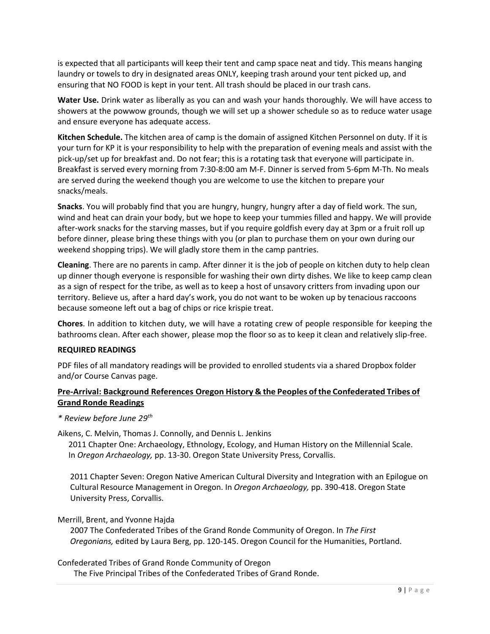is expected that all participants will keep their tent and camp space neat and tidy. This means hanging laundry or towels to dry in designated areas ONLY, keeping trash around your tent picked up, and ensuring that NO FOOD is kept in your tent. All trash should be placed in our trash cans.

**Water Use.** Drink water as liberally as you can and wash your hands thoroughly. We will have access to showers at the powwow grounds, though we will set up a shower schedule so as to reduce water usage and ensure everyone has adequate access.

**Kitchen Schedule.** The kitchen area of camp is the domain of assigned Kitchen Personnel on duty. If it is your turn for KP it is your responsibility to help with the preparation of evening meals and assist with the pick-up/set up for breakfast and. Do not fear; this is a rotating task that everyone will participate in. Breakfast is served every morning from 7:30-8:00 am M-F. Dinner is served from 5-6pm M-Th. No meals are served during the weekend though you are welcome to use the kitchen to prepare your snacks/meals.

**Snacks**. You will probably find that you are hungry, hungry, hungry after a day of field work. The sun, wind and heat can drain your body, but we hope to keep your tummies filled and happy. We will provide after-work snacks for the starving masses, but if you require goldfish every day at 3pm or a fruit roll up before dinner, please bring these things with you (or plan to purchase them on your own during our weekend shopping trips). We will gladly store them in the camp pantries.

**Cleaning**. There are no parents in camp. After dinner it is the job of people on kitchen duty to help clean up dinner though everyone is responsible for washing their own dirty dishes. We like to keep camp clean as a sign of respect for the tribe, as well as to keep a host of unsavory critters from invading upon our territory. Believe us, after a hard day's work, you do not want to be woken up by tenacious raccoons because someone left out a bag of chips or rice krispie treat.

**Chores**. In addition to kitchen duty, we will have a rotating crew of people responsible for keeping the bathrooms clean. After each shower, please mop the floor so as to keep it clean and relatively slip-free.

# **REQUIRED READINGS**

PDF files of all mandatory readings will be provided to enrolled students via a shared Dropbox folder and/or Course Canvas page.

# **Pre-Arrival: Background References Oregon History & the Peoples ofthe Confederated Tribes of Grand Ronde Readings**

# *\* Review before June 29th*

Aikens, C. Melvin, Thomas J. Connolly, and Dennis L. Jenkins

2011 Chapter One: Archaeology, Ethnology, Ecology, and Human History on the Millennial Scale. In *Oregon Archaeology,* pp. 13-30. Oregon State University Press, Corvallis.

2011 Chapter Seven: Oregon Native American Cultural Diversity and Integration with an Epilogue on Cultural Resource Management in Oregon. In *Oregon Archaeology,* pp. 390-418. Oregon State University Press, Corvallis.

# Merrill, Brent, and Yvonne Hajda

2007 The Confederated Tribes of the Grand Ronde Community of Oregon. In *The First Oregonians,* edited by Laura Berg, pp. 120-145. Oregon Council for the Humanities, Portland.

# Confederated Tribes of Grand Ronde Community of Oregon

The Five Principal Tribes of the Confederated Tribes of Grand Ronde.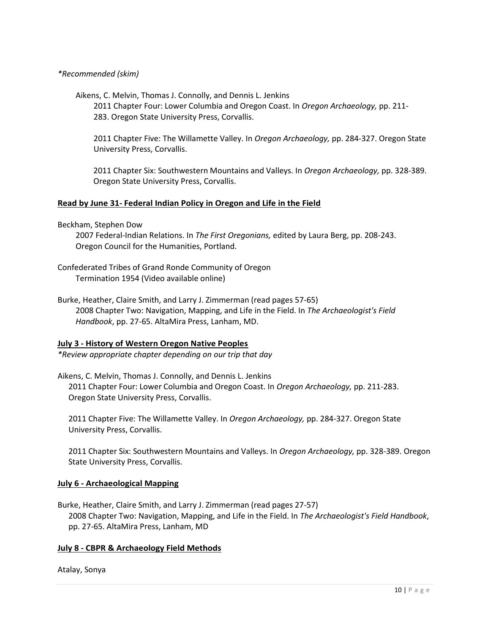#### *\*Recommended (skim)*

Aikens, C. Melvin, Thomas J. Connolly, and Dennis L. Jenkins 2011 Chapter Four: Lower Columbia and Oregon Coast. In *Oregon Archaeology,* pp. 211-

283. Oregon State University Press, Corvallis.

2011 Chapter Five: The Willamette Valley. In *Oregon Archaeology,* pp. 284-327. Oregon State University Press, Corvallis.

2011 Chapter Six: Southwestern Mountains and Valleys. In *Oregon Archaeology,* pp. 328-389. Oregon State University Press, Corvallis.

#### **Read by June 31- Federal Indian Policy in Oregon and Life in the Field**

Beckham, Stephen Dow

2007 Federal-Indian Relations. In *The First Oregonians,* edited by Laura Berg, pp. 208-243. Oregon Council for the Humanities, Portland.

- Confederated Tribes of Grand Ronde Community of Oregon Termination 1954 (Video available online)
- Burke, Heather, Claire Smith, and Larry J. Zimmerman (read pages 57-65) 2008 Chapter Two: Navigation, Mapping, and Life in the Field. In *The Archaeologist's Field Handbook*, pp. 27-65. AltaMira Press, Lanham, MD.

#### **July 3 - History of Western Oregon Native Peoples**

*\*Review appropriate chapter depending on our trip that day*

Aikens, C. Melvin, Thomas J. Connolly, and Dennis L. Jenkins 2011 Chapter Four: Lower Columbia and Oregon Coast. In *Oregon Archaeology,* pp. 211-283. Oregon State University Press, Corvallis.

2011 Chapter Five: The Willamette Valley. In *Oregon Archaeology,* pp. 284-327. Oregon State University Press, Corvallis.

2011 Chapter Six: Southwestern Mountains and Valleys. In *Oregon Archaeology,* pp. 328-389. Oregon State University Press, Corvallis.

#### **July 6 - Archaeological Mapping**

Burke, Heather, Claire Smith, and Larry J. Zimmerman (read pages 27-57) 2008 Chapter Two: Navigation, Mapping, and Life in the Field. In *The Archaeologist's Field Handbook*, pp. 27-65. AltaMira Press, Lanham, MD

#### **July 8 - CBPR & Archaeology Field Methods**

Atalay, Sonya